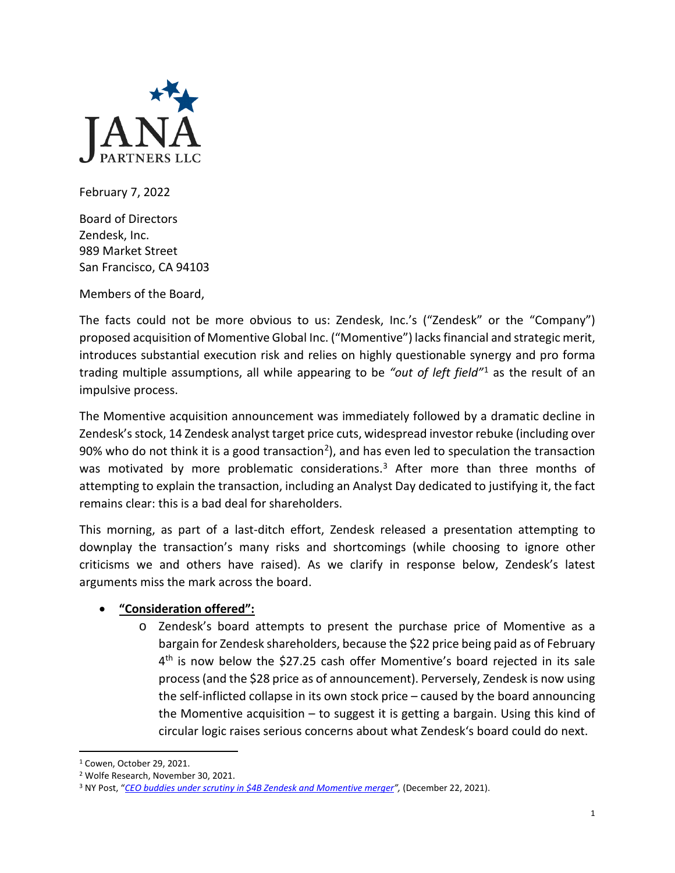

February 7, 2022

Board of Directors Zendesk, Inc. 989 Market Street San Francisco, CA 94103

Members of the Board,

The facts could not be more obvious to us: Zendesk, Inc.'s ("Zendesk" or the "Company") proposed acquisition of Momentive Global Inc. ("Momentive") lacks financial and strategic merit, introduces substantial execution risk and relies on highly questionable synergy and pro forma trading multiple assumptions, all while appearing to be *"out of left field"*[1](#page-0-0) as the result of an impulsive process.

The Momentive acquisition announcement was immediately followed by a dramatic decline in Zendesk's stock, 14 Zendesk analyst target price cuts, widespread investor rebuke (including over 90% who do not think it is a good transaction<sup>[2](#page-0-1)</sup>), and has even led to speculation the transaction was motivated by more problematic considerations.<sup>[3](#page-0-2)</sup> After more than three months of attempting to explain the transaction, including an Analyst Day dedicated to justifying it, the fact remains clear: this is a bad deal for shareholders.

This morning, as part of a last-ditch effort, Zendesk released a presentation attempting to downplay the transaction's many risks and shortcomings (while choosing to ignore other criticisms we and others have raised). As we clarify in response below, Zendesk's latest arguments miss the mark across the board.

## • **"Consideration offered":**

o Zendesk's board attempts to present the purchase price of Momentive as a bargain for Zendesk shareholders, because the \$22 price being paid as of February  $4<sup>th</sup>$  is now below the \$27.25 cash offer Momentive's board rejected in its sale process (and the \$28 price as of announcement). Perversely, Zendesk is now using the self-inflicted collapse in its own stock price – caused by the board announcing the Momentive acquisition – to suggest it is getting a bargain. Using this kind of circular logic raises serious concerns about what Zendesk's board could do next.

<span id="page-0-0"></span><sup>1</sup> Cowen, October 29, 2021.

<span id="page-0-1"></span><sup>2</sup> Wolfe Research, November 30, 2021.

<span id="page-0-2"></span><sup>3</sup> NY Post, "*[CEO buddies under scrutiny in \\$4B Zendesk and Momentive merger"](https://nypost.com/2021/12/22/ceo-buddies-under-scrutiny-in-4b-zendesk-and-momentive-merger/),* (December 22, 2021).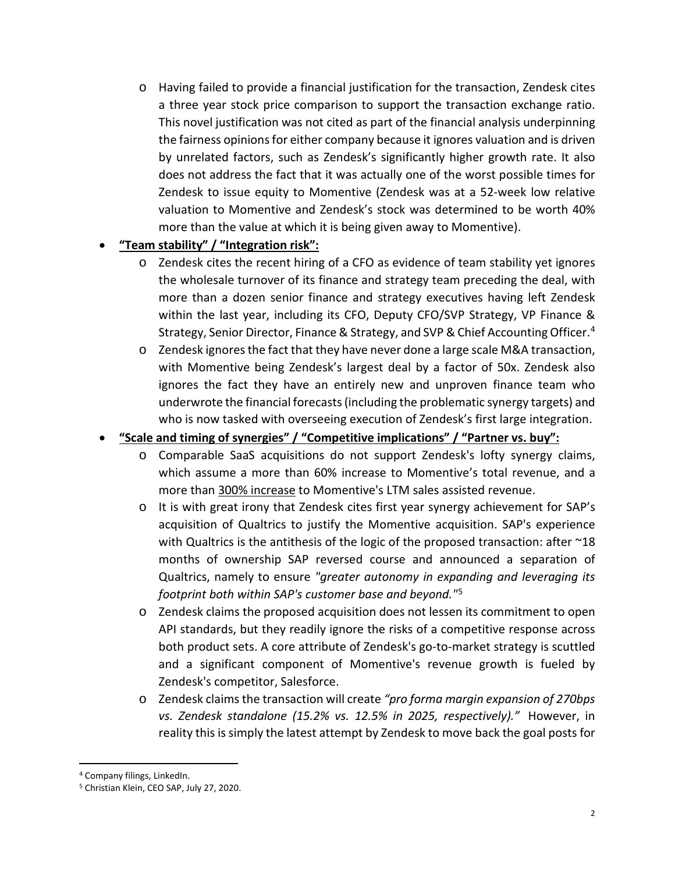o Having failed to provide a financial justification for the transaction, Zendesk cites a three year stock price comparison to support the transaction exchange ratio. This novel justification was not cited as part of the financial analysis underpinning the fairness opinions for either company because it ignores valuation and is driven by unrelated factors, such as Zendesk's significantly higher growth rate. It also does not address the fact that it was actually one of the worst possible times for Zendesk to issue equity to Momentive (Zendesk was at a 52-week low relative valuation to Momentive and Zendesk's stock was determined to be worth 40% more than the value at which it is being given away to Momentive).

## • **"Team stability" / "Integration risk":**

- o Zendesk cites the recent hiring of a CFO as evidence of team stability yet ignores the wholesale turnover of its finance and strategy team preceding the deal, with more than a dozen senior finance and strategy executives having left Zendesk within the last year, including its CFO, Deputy CFO/SVP Strategy, VP Finance & Strategy, Senior Director, Finance & Strategy, and SVP & Chief Accounting Officer.[4](#page-1-0)
- $\circ$  Zendesk ignores the fact that they have never done a large scale M&A transaction, with Momentive being Zendesk's largest deal by a factor of 50x. Zendesk also ignores the fact they have an entirely new and unproven finance team who underwrote the financial forecasts (including the problematic synergy targets) and who is now tasked with overseeing execution of Zendesk's first large integration.

## • **"Scale and timing of synergies" / "Competitive implications" / "Partner vs. buy":**

- o Comparable SaaS acquisitions do not support Zendesk's lofty synergy claims, which assume a more than 60% increase to Momentive's total revenue, and a more than 300% increase to Momentive's LTM sales assisted revenue.
- o It is with great irony that Zendesk cites first year synergy achievement for SAP's acquisition of Qualtrics to justify the Momentive acquisition. SAP's experience with Qualtrics is the antithesis of the logic of the proposed transaction: after ~18 months of ownership SAP reversed course and announced a separation of Qualtrics, namely to ensure *"greater autonomy in expanding and leveraging its footprint both within SAP's customer base and beyond."*[5](#page-1-1)
- o Zendesk claims the proposed acquisition does not lessen its commitment to open API standards, but they readily ignore the risks of a competitive response across both product sets. A core attribute of Zendesk's go-to-market strategy is scuttled and a significant component of Momentive's revenue growth is fueled by Zendesk's competitor, Salesforce.
- o Zendesk claims the transaction will create *"pro forma margin expansion of 270bps vs. Zendesk standalone (15.2% vs. 12.5% in 2025, respectively)."* However, in reality this is simply the latest attempt by Zendesk to move back the goal posts for

<span id="page-1-0"></span><sup>4</sup> Company filings, LinkedIn.

<span id="page-1-1"></span><sup>5</sup> Christian Klein, CEO SAP, July 27, 2020.